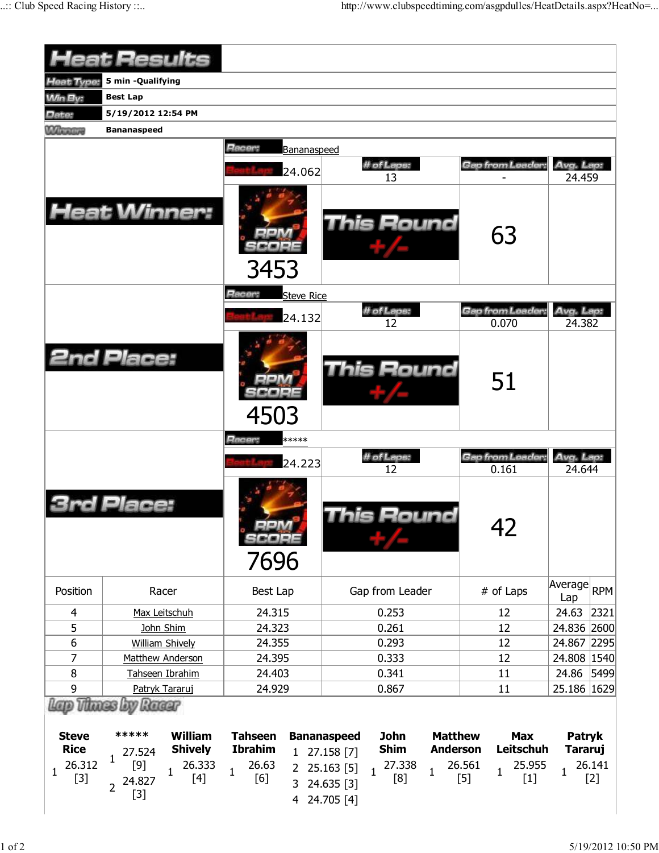|                                                     | <b>Heat Results</b>                                                                                                               |                                                                                       |                                                                                                                                                                         |                                                                    |                                                                   |
|-----------------------------------------------------|-----------------------------------------------------------------------------------------------------------------------------------|---------------------------------------------------------------------------------------|-------------------------------------------------------------------------------------------------------------------------------------------------------------------------|--------------------------------------------------------------------|-------------------------------------------------------------------|
| <b>Heat Type:</b>                                   | 5 min -Qualifying                                                                                                                 |                                                                                       |                                                                                                                                                                         |                                                                    |                                                                   |
| <b>Min By:</b>                                      | <b>Best Lap</b>                                                                                                                   |                                                                                       |                                                                                                                                                                         |                                                                    |                                                                   |
| Date:                                               | 5/19/2012 12:54 PM                                                                                                                |                                                                                       |                                                                                                                                                                         |                                                                    |                                                                   |
| <b>Winnipeg</b>                                     | <b>Bananaspeed</b>                                                                                                                |                                                                                       |                                                                                                                                                                         |                                                                    |                                                                   |
|                                                     |                                                                                                                                   | Racer:<br>Bananaspeed                                                                 |                                                                                                                                                                         |                                                                    |                                                                   |
|                                                     |                                                                                                                                   |                                                                                       | # of Laps:                                                                                                                                                              | Gap from Leader:                                                   | Avg. Lap:                                                         |
|                                                     |                                                                                                                                   | 24.062                                                                                | 13                                                                                                                                                                      |                                                                    | 24.459                                                            |
|                                                     | <b>Heat Winner:</b>                                                                                                               | 3453                                                                                  | <b>This Round</b>                                                                                                                                                       | 63                                                                 |                                                                   |
|                                                     |                                                                                                                                   | Racer:<br><b>Steve Rice</b>                                                           |                                                                                                                                                                         |                                                                    |                                                                   |
|                                                     |                                                                                                                                   | 24.132                                                                                | # of Laps:                                                                                                                                                              | Gap from Leader:                                                   | Avg. Lap:                                                         |
|                                                     |                                                                                                                                   |                                                                                       | 12                                                                                                                                                                      | 0.070                                                              | 24.382                                                            |
|                                                     | <b>2nd Place:</b>                                                                                                                 | 4503                                                                                  | This Round                                                                                                                                                              | 51                                                                 |                                                                   |
|                                                     |                                                                                                                                   | Racer:<br>*****                                                                       |                                                                                                                                                                         |                                                                    |                                                                   |
|                                                     |                                                                                                                                   | 24.223                                                                                | # of Laps:                                                                                                                                                              | Gap from Leader:                                                   | Avg. Lap:                                                         |
|                                                     | 3rd Place:                                                                                                                        | SCOPE<br>7696                                                                         | 12<br>This Round                                                                                                                                                        | 0.161<br>42                                                        | 24.644                                                            |
| Position                                            | Racer                                                                                                                             | Best Lap                                                                              | Gap from Leader                                                                                                                                                         | # of Laps                                                          | Average<br><b>RPM</b><br>Lap                                      |
| 4                                                   | Max Leitschuh                                                                                                                     | 24.315                                                                                | 0.253                                                                                                                                                                   | 12                                                                 | 24.63<br>2321                                                     |
| 5                                                   | John Shim                                                                                                                         | 24.323                                                                                | 0.261                                                                                                                                                                   | 12                                                                 | 24.836 2600                                                       |
| $\boldsymbol{6}$                                    | <b>William Shively</b>                                                                                                            | 24.355                                                                                | 0.293                                                                                                                                                                   | 12                                                                 | 24.867 2295                                                       |
| 7                                                   | Matthew Anderson                                                                                                                  | 24.395                                                                                | 0.333                                                                                                                                                                   | 12                                                                 | 24.808 1540                                                       |
| 8                                                   | Tahseen Ibrahim                                                                                                                   | 24.403                                                                                | 0.341                                                                                                                                                                   | 11                                                                 | 24.86<br> 5499                                                    |
| 9                                                   | Patryk Tararuj                                                                                                                    | 24.929                                                                                | 0.867                                                                                                                                                                   | 11                                                                 | 25.186 1629                                                       |
| <b>Steve</b><br><b>Rice</b><br>26.312<br>1<br>$[3]$ | by Racer<br>*****<br><b>William</b><br><b>Shively</b><br>27.524<br>1<br>$[9]$<br>26.333<br>1<br>$[4]$<br>24.827<br>$\overline{2}$ | <b>Tahseen</b><br><b>Ibrahim</b><br>26.63<br>$\mathbf{2}$<br>$\mathbf{1}$<br>[6]<br>3 | <b>Bananaspeed</b><br><b>John</b><br><b>Matthew</b><br><b>Shim</b><br><b>Anderson</b><br>1 27.158 [7]<br>27.338<br>25.163 [5]<br>$\mathbf{1}$<br>1<br>[8]<br>24.635 [3] | <b>Max</b><br>Leitschuh<br>26.561<br>25.955<br>1<br>$[5]$<br>$[1]$ | <b>Patryk</b><br><b>Tararuj</b><br>26.141<br>$\mathbf 1$<br>$[2]$ |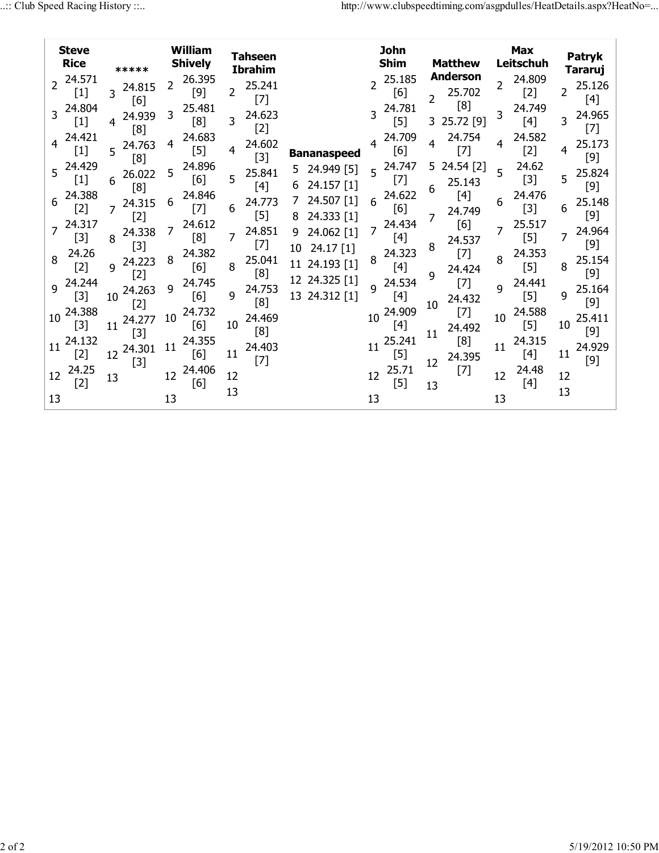| <b>Steve</b><br><b>Rice</b>                                                                                                                                                                                 | *****                 | William<br><b>Shively</b>                                                                                                                                                                                               | <b>Tahseen</b><br><b>Ibrahim</b> |                                       | <b>John</b><br><b>Shim</b>                                                                                                                                                                                                   | <b>Matthew</b>                 | <b>Max</b><br>Leitschuh | Patryk<br><b>Tararuj</b> |
|-------------------------------------------------------------------------------------------------------------------------------------------------------------------------------------------------------------|-----------------------|-------------------------------------------------------------------------------------------------------------------------------------------------------------------------------------------------------------------------|----------------------------------|---------------------------------------|------------------------------------------------------------------------------------------------------------------------------------------------------------------------------------------------------------------------------|--------------------------------|-------------------------|--------------------------|
| 24.571<br>$\overline{2}$<br>$[1]$                                                                                                                                                                           | 24.815<br>[6]         | 26.395<br>2<br>[9]                                                                                                                                                                                                      | 25.241<br>2<br>$[7]$             |                                       | 25.185<br>[6]                                                                                                                                                                                                                | Anderson<br>25.702<br>[8]      | 24.809<br>2<br>$[2]$    | 25.126<br>2<br>$[4]$     |
| 24.804<br>$\mathcal{S}$<br>$[1] % \includegraphics[width=0.9\columnwidth]{figures/fig_10.pdf} \caption{The figure shows the number of times of the estimators in the left and right.} \label{fig:fig:time}$ | 24.939<br>[8]         | 25.481<br>3<br>[8]                                                                                                                                                                                                      | 24.623<br>3<br>$[2]$             |                                       | 24.781<br>$[5] % \includegraphics[width=0.9\columnwidth]{figures/fig_10.pdf} \caption{The 3D (black) model for the estimators in the left and right. The left and right is the same as in the right.} \label{fig:fig:10}} %$ | 25.72 [9]<br>3.                | 24.749<br>$[4]$         | 24.965<br>3<br>$[7]$     |
| 24.421                                                                                                                                                                                                      | 24.763<br>5<br>[8]    | 24.683<br>4<br>$[5] % \includegraphics[width=0.9\columnwidth]{figures/fig_10.pdf} \caption{The figure shows the number of times, and the number of times, and the number of times, respectively.} \label{fig:fig:time}$ | 24.602<br>4<br>$[3]$             | <b>Bananaspeed</b>                    | 24.709<br>[6]                                                                                                                                                                                                                | 24.754<br>[7]                  | 24.582<br>4<br>$[2]$    | 25.173<br>4<br>$[9]$     |
| 5 24.429<br>$[1]$                                                                                                                                                                                           | 26.022<br>6<br>[8]    | 24.896<br>5<br>[6]                                                                                                                                                                                                      | 25.841<br>5<br>[4]               | 24.949 [5]<br>5.<br>24.157 [1]<br>6   | 24.747<br>5<br>$[7]$                                                                                                                                                                                                         | 24.54 [2]<br>5.<br>25.143<br>6 | 24.62<br>5<br>$[3]$     | 25.824<br>5<br>$[9]$     |
| 24.388<br>6<br>$[2]$                                                                                                                                                                                        | 24.315<br>$[2]$       | 24.846<br>6<br>$[7]$                                                                                                                                                                                                    | 24.773<br>6<br>$[5]$             | 24.507 [1]<br>24.333 [1]              | 24.622<br>6<br>[6]                                                                                                                                                                                                           | $[4]$<br>24.749                | 24.476<br>6<br>$[3]$    | 25.148<br>6<br>$[9]$     |
| 24.317<br>$[3]$                                                                                                                                                                                             | 24.338<br>8           | 24.612<br>7<br>[8]                                                                                                                                                                                                      | 24.851<br>7<br>[7]               | 24.062 [1]<br>9                       | 24.434<br>7<br>[4]                                                                                                                                                                                                           | [6]<br>24.537                  | 25.517<br>$[5]$         | 24.964<br>7<br>$[9]$     |
| 24.26<br>8<br>$[2]$                                                                                                                                                                                         | $[3]$<br>24.223<br>q  | 24.382<br>8<br>[6]                                                                                                                                                                                                      | 25.041<br>8<br>[8]               | $24.17$ [1]<br>10<br>24.193 [1]<br>11 | 24.323<br>8<br>[4]                                                                                                                                                                                                           | 8<br>$[7]$<br>24.424           | 24.353<br>8<br>$[5]$    | 25.154<br>8              |
| 24.244<br>9<br>$[3]$                                                                                                                                                                                        | $[2]$<br>24.263<br>10 | 24.745<br>9<br>[6]                                                                                                                                                                                                      | 24.753<br>9                      | 12 24.325 [1]<br>24.312 [1]<br>13     | 24.534<br>q<br>$[4]$                                                                                                                                                                                                         | q<br>$[7]$<br>24.432           | 24.441<br>q<br>$[5]$    | $[9]$<br>25.164<br>9     |
| 24.388<br>10<br>$[3]$                                                                                                                                                                                       | $[2]$<br>24.277<br>11 | 24.732<br>10<br>[6]                                                                                                                                                                                                     | [8]<br>24.469<br>10              |                                       | 24.909<br>10<br>[4]                                                                                                                                                                                                          | 10<br>$[7]$<br>24.492          | 24.588<br>10<br>$[5]$   | $[9]$<br>25.411<br>10    |
| 24.132<br>11<br>$[2]$                                                                                                                                                                                       | $[3]$<br>24.301<br>12 | 24.355<br>11<br>[6]                                                                                                                                                                                                     | [8]<br>24.403<br>11              |                                       | 25.241<br>11<br>$[5]$                                                                                                                                                                                                        | 11<br>[8]<br>24.395            | 24.315<br>11<br>$[4]$   | $[9]$<br>24.929<br>11    |
| 24.25<br>12<br>$[2]$                                                                                                                                                                                        | $[3]$<br>13           | 24.406<br>12<br>[6]                                                                                                                                                                                                     | $[7]$<br>12                      |                                       | 25.71<br>12<br>$[5]$                                                                                                                                                                                                         | 12<br>$[7]$<br>13              | 24.48<br>12<br>$[4]$    | $[9]$<br>12              |
| 13                                                                                                                                                                                                          |                       | 13                                                                                                                                                                                                                      | 13                               |                                       | 13                                                                                                                                                                                                                           |                                | 13                      | 13                       |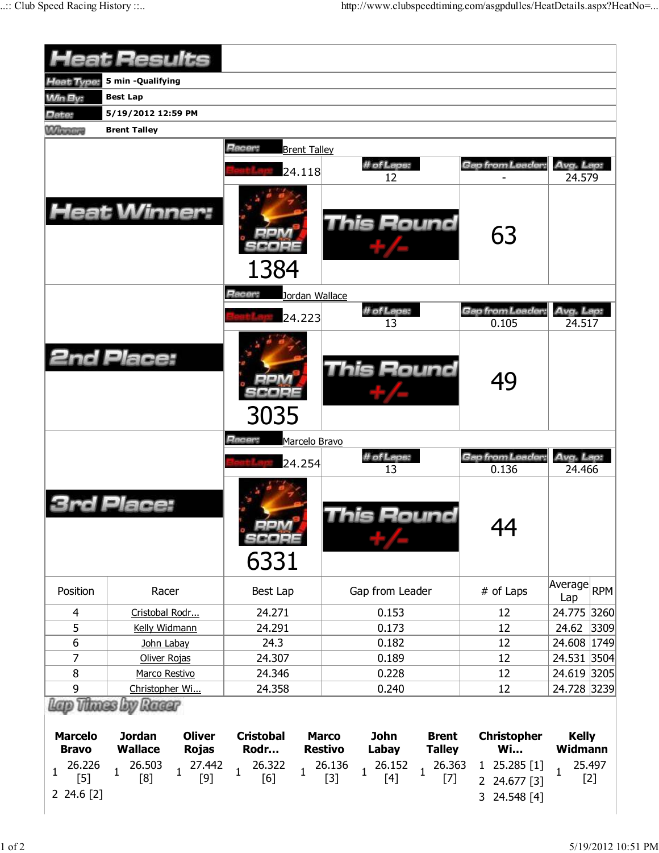|                                                          | <b>Heat Results</b>                                                                                                                                        |                                                                             |                                                                                                                                                                                    |                                                                 |                                                            |
|----------------------------------------------------------|------------------------------------------------------------------------------------------------------------------------------------------------------------|-----------------------------------------------------------------------------|------------------------------------------------------------------------------------------------------------------------------------------------------------------------------------|-----------------------------------------------------------------|------------------------------------------------------------|
| Heat Type:                                               | 5 min -Qualifying                                                                                                                                          |                                                                             |                                                                                                                                                                                    |                                                                 |                                                            |
| <b>Win By:</b>                                           | <b>Best Lap</b>                                                                                                                                            |                                                                             |                                                                                                                                                                                    |                                                                 |                                                            |
| Date:                                                    | 5/19/2012 12:59 PM                                                                                                                                         |                                                                             |                                                                                                                                                                                    |                                                                 |                                                            |
| <b>Mana</b> ry                                           | <b>Brent Talley</b>                                                                                                                                        |                                                                             |                                                                                                                                                                                    |                                                                 |                                                            |
|                                                          |                                                                                                                                                            | Racer:                                                                      |                                                                                                                                                                                    |                                                                 |                                                            |
|                                                          |                                                                                                                                                            | <b>Brent Talley</b>                                                         | # of Laps:                                                                                                                                                                         | Gap from Leader:                                                | Avg. Lap:                                                  |
|                                                          |                                                                                                                                                            | 24.118                                                                      | 12                                                                                                                                                                                 |                                                                 | 24.579                                                     |
|                                                          | <b>Heat Winner:</b>                                                                                                                                        | 1384                                                                        | <b>This Round</b>                                                                                                                                                                  | 63                                                              |                                                            |
|                                                          |                                                                                                                                                            | Racer:<br>Jordan Wallace                                                    |                                                                                                                                                                                    |                                                                 |                                                            |
|                                                          |                                                                                                                                                            |                                                                             | # of Laps:                                                                                                                                                                         | <b>Gap from Leader</b>                                          | Avg. Lap:                                                  |
|                                                          |                                                                                                                                                            | 24.223                                                                      | 13                                                                                                                                                                                 | 0.105                                                           | 24.517                                                     |
|                                                          | <b>2nd Place:</b>                                                                                                                                          | 3035                                                                        | <b>This Round</b>                                                                                                                                                                  | 49                                                              |                                                            |
|                                                          |                                                                                                                                                            | Racer:<br>Marcelo Bravo                                                     |                                                                                                                                                                                    |                                                                 |                                                            |
|                                                          |                                                                                                                                                            | 24.254                                                                      | # of Laps:                                                                                                                                                                         | Gap from Leader:                                                | Avg. Lap:                                                  |
|                                                          | rd Place:                                                                                                                                                  | 6331                                                                        | 13<br>his Round                                                                                                                                                                    | 0.136<br>44                                                     | 24.466                                                     |
| Position                                                 | Racer                                                                                                                                                      | Best Lap                                                                    | Gap from Leader                                                                                                                                                                    | # of Laps                                                       | Average RPM<br>Lap                                         |
| $\overline{4}$                                           | Cristobal Rodr                                                                                                                                             | 24.271                                                                      | 0.153                                                                                                                                                                              | 12                                                              | 24.775 3260                                                |
| 5                                                        | Kelly Widmann                                                                                                                                              | 24.291                                                                      | 0.173                                                                                                                                                                              | 12                                                              | 24.62<br>3309                                              |
| 6                                                        | John Labay                                                                                                                                                 | 24.3                                                                        | 0.182                                                                                                                                                                              | 12                                                              | 24.608 1749                                                |
| 7                                                        | Oliver Rojas                                                                                                                                               | 24.307                                                                      | 0.189                                                                                                                                                                              | 12                                                              | 24.531 3504                                                |
| 8                                                        | Marco Restivo                                                                                                                                              | 24.346                                                                      | 0.228                                                                                                                                                                              | 12                                                              | 24.619 3205                                                |
| 9                                                        | Christopher Wi                                                                                                                                             | 24.358                                                                      | 0.240                                                                                                                                                                              | 12                                                              | 24.728 3239                                                |
| <b>Marcelo</b><br><b>Bravo</b><br>26.226<br>$\mathbf{1}$ | Lap Thues by Racer<br><b>Jordan</b><br><b>Oliver</b><br><b>Wallace</b><br><b>Rojas</b><br>26.503<br>27.442<br>$\mathbf{1}$<br>$\mathbf{1}$<br>[8]<br>$[9]$ | <b>Cristobal</b><br>Rodr<br>26.322<br>$\overline{1}$<br>$\mathbf{1}$<br>[6] | <b>John</b><br><b>Marco</b><br><b>Brent</b><br><b>Restivo</b><br>Labay<br><b>Talley</b><br>26.363<br>26.136<br>26.152<br>$\mathbf{1}$<br>$\overline{1}$<br>$[3]$<br>$[4]$<br>$[7]$ | <b>Christopher</b><br><b>Wi</b><br>1 25.285 [1]<br>2 24.677 [3] | <b>Kelly</b><br>Widmann<br>25.497<br>$\mathbf{1}$<br>$[2]$ |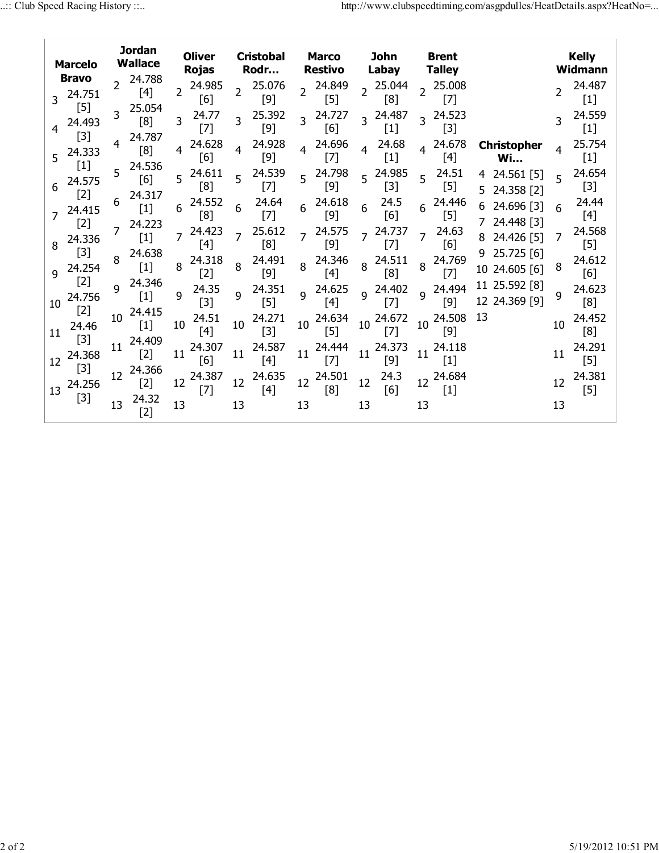|    | <b>Marcelo</b><br><b>Bravo</b> |                 | <b>Jordan</b><br><b>Wallace</b> | <b>Oliver</b><br><b>Rojas</b> |                | <b>Cristobal</b><br>Rodr |                | <b>Marco</b><br><b>Restivo</b> |                | John<br>Labay         |                | <b>Brent</b><br><b>Talley</b> |    |                                 |                | <b>Kelly</b><br>Widmann |
|----|--------------------------------|-----------------|---------------------------------|-------------------------------|----------------|--------------------------|----------------|--------------------------------|----------------|-----------------------|----------------|-------------------------------|----|---------------------------------|----------------|-------------------------|
| 3  | 24.751                         |                 | 24.788<br>[4]                   | 24.985<br>2<br>[6]            |                | 25.076<br>$[9]$          | $\overline{2}$ | 24.849<br>$[5]$                |                | 25.044<br>[8]         |                | 25.008<br>$[7]$               |    |                                 | $\overline{2}$ | 24.487<br>$[1]$         |
|    | $[5]$<br>24.493                | 3               | 25.054<br>[8]                   | 24.77<br>3<br>$[7]$           | 3              | 25.392<br>$[9]$          | $\overline{3}$ | 24.727<br>[6]                  | $\overline{3}$ | 24.487<br>$[1]$       | $\overline{3}$ | 24.523<br>$[3]$               |    |                                 |                | 24.559<br>$[1]$         |
| 5  | $[3]$<br>24.333                | 4               | 24.787<br>[8]                   | 24.628<br>4<br>[6]            | 4              | 24.928<br>$[9]$          | 4              | 24.696<br>$[7]$                | 4              | 24.68<br>$[1]$        |                | 24.678<br>$[4]$               |    | Christopher<br><b>Wi</b>        | 4              | 25.754<br>$[1]$         |
| 6  | $[1]$<br>24.575                |                 | $5^{24.536}$<br>[6]             | 24.611<br>5<br>[8]            | 5              | 24.539<br>$[7]$          |                | 24.798<br>$[9]$                |                | $5^{24.985}$<br>$[3]$ | 5              | 24.51<br>$[5]$                | 4  | $24.561$ [5]<br>5 24.358 [2]    | 5              | 24.654<br>$[3]$         |
|    | $[2]$<br>24.415                | 6               | 24.317<br>$[1]$                 | 24.552<br>6<br>[8]            | 6              | 24.64<br>$[7]$           | 6              | 24.618<br>$[9]$                | 6              | 24.5<br>[6]           | 6              | 24.446<br>$[5]$               |    | 24.696 [3]<br>7 24.448 [3]      |                | 24.44<br>$[4]$          |
| 8  | $[2]$<br>24.336                |                 | 24.223<br>$[1]$                 | 24.423<br>7<br>$[4]$          | $\overline{z}$ | 25.612<br>[8]            |                | 24.575<br>$[9]$                |                | 24.737<br>$[7]$       | $\overline{7}$ | 24.63<br>[6]                  |    | 24.426 [5]                      | 7              | 24.568<br>$[5]$         |
| q  | $[3]$<br>24.254                |                 | 24.638<br>$[1]$                 | 24.318<br>8<br>$[2]$          | 8              | 24.491<br>$[9]$          |                | 24.346<br>$[4]$                | 8              | 24.511<br>[8]         | 8              | 24.769<br>$[7]$               |    | $9$ 25.725 [6]<br>10 24.605 [6] | 8              | 24.612<br>[6]           |
| 10 | $[2]$<br>24.756                | q               | 24.346<br>$[1]$                 | 24.35<br>9<br>$[3]$           | $\mathsf{q}$   | 24.351<br>$[5]$          |                | 9 24.625<br>$[4]$              |                | 9 24.402<br>$[7]$     | q              | 24.494<br>$[9]$               |    | 11 25.592 [8]<br>12 24.369 [9]  | q              | 24.623<br>[8]           |
| 11 | $[2]$<br>24.46                 | 10              | 24.415<br>$[1]$                 | 24.51<br>10<br>$[4]$          | 10             | 24.271<br>$[3]$          | 10             | 24.634<br>$[5]$                | 10             | 24.672<br>$[7]$       | 10             | 24.508<br>$[9]$               | 13 |                                 | 10             | 24.452<br>[8]           |
| 12 | $[3]$<br>24.368                | 11              | 24.409<br>$[2]$                 | 24.307<br>11<br>[6]           | 11             | 24.587<br>$[4]$          | 11             | 24.444<br>$[7]$                | 11             | 24.373<br>$[9]$       | 11             | 24.118<br>$[1]$               |    |                                 | 11             | 24.291<br>$[5]$         |
| 13 | $[3]$<br>24.256                | 12 <sup>2</sup> | 24.366<br>$[2]$                 | 24.387<br>12<br>$[7]$         | 12             | 24.635<br>$[4]$          | 12             | 24.501<br>[8]                  | 12             | 24.3<br>[6]           |                | 12 24.684<br>$[1]$            |    |                                 | 12             | 24.381<br>$[5]$         |
|    | $[3]$                          | 13              | 24.32<br>$[2]$                  | 13                            | 13             |                          | 13             |                                | 13             |                       | 13             |                               |    |                                 | 13             |                         |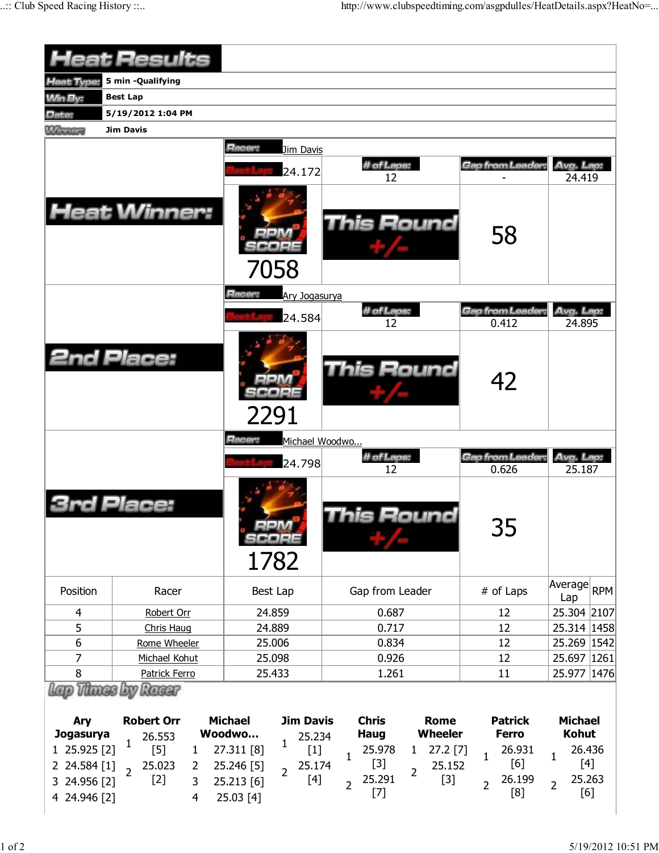|                                              | <b>Heat Results</b>                                                           |                                                                                  |                                                                                                 |                                                        |                                                          |
|----------------------------------------------|-------------------------------------------------------------------------------|----------------------------------------------------------------------------------|-------------------------------------------------------------------------------------------------|--------------------------------------------------------|----------------------------------------------------------|
| Heat Type:                                   | 5 min -Qualifying                                                             |                                                                                  |                                                                                                 |                                                        |                                                          |
| <b>Min By:</b>                               | <b>Best Lap</b>                                                               |                                                                                  |                                                                                                 |                                                        |                                                          |
| Date:                                        | 5/19/2012 1:04 PM                                                             |                                                                                  |                                                                                                 |                                                        |                                                          |
| <b>Winning</b>                               | <b>Jim Davis</b>                                                              |                                                                                  |                                                                                                 |                                                        |                                                          |
|                                              | <b>Heat Winner:</b>                                                           | Racer:<br>Jim Davis<br>24.172<br>7058                                            | # of Laps:<br>12<br><b>This Round</b>                                                           | Gap from Leader:<br>58                                 | Avg. Lap:<br>24.419                                      |
|                                              |                                                                               | Racer:<br>Ary Jogasurya                                                          |                                                                                                 |                                                        |                                                          |
|                                              |                                                                               | 24.584                                                                           | # of Laps:<br>12                                                                                | Gap from Leader.<br>0.412                              | Avg. Lap:<br>24.895                                      |
|                                              | <b>2nd Place:</b>                                                             | 2291                                                                             | This Round                                                                                      | 42                                                     |                                                          |
|                                              |                                                                               | Racer:<br>Michael Woodwo                                                         |                                                                                                 |                                                        |                                                          |
|                                              |                                                                               | 24.798                                                                           | # of Laps:                                                                                      | Gap from Leader:                                       | Avg. Lap:                                                |
|                                              | Place:                                                                        | 1782                                                                             | 12<br>his Round                                                                                 | 0.626<br>35                                            | 25.187                                                   |
| Position                                     | Racer                                                                         | Best Lap                                                                         | Gap from Leader                                                                                 | # of Laps                                              | Average<br><b>RPM</b><br>Lap                             |
| 4                                            | Robert Orr                                                                    | 24.859                                                                           | 0.687                                                                                           | 12                                                     | 25.304 2107                                              |
| 5                                            | Chris Haug                                                                    | 24.889                                                                           | 0.717                                                                                           | 12                                                     | 25.314 1458                                              |
| $6\,$                                        | Rome Wheeler                                                                  | 25.006                                                                           | 0.834                                                                                           | 12                                                     | 25.269 1542                                              |
| 7                                            | Michael Kohut                                                                 | 25.098                                                                           | 0.926                                                                                           | 12                                                     | 25.697 1261                                              |
| 8                                            | Patrick Ferro                                                                 | 25.433                                                                           | 1.261                                                                                           | 11                                                     | 25.977   1476                                            |
| Ary<br><b>Jogasurya</b><br>1 25.925 [2]      | Racer<br><b>Robert Orr</b><br>26.553<br>$\mathbf{1}$<br>$[5]$<br>$\mathbf{1}$ | <b>Michael</b><br><b>Jim Davis</b><br>Woodwo<br>25.234<br>1<br>27.311 [8]        | <b>Chris</b><br><b>Rome</b><br><b>Wheeler</b><br><b>Haug</b><br>25.978<br>$27.2$ [7]<br>1       | <b>Patrick</b><br><b>Ferro</b><br>26.931               | <b>Michael</b><br><b>Kohut</b><br>26.436                 |
| 2 24.584 [1]<br>3 24.956 [2]<br>4 24.946 [2] | 25.023<br>2<br>$\overline{2}$<br>$[2]$<br>3<br>$\overline{4}$                 | $[1]$<br>25.246 [5]<br>25.174<br>$\overline{2}$<br>[4]<br>25.213 [6]<br>25.03[4] | $\mathbf{1}$<br>$[3]$<br>25.152<br>$\overline{2}$<br>25.291<br>$[3]$<br>$\overline{2}$<br>$[7]$ | $\mathbf{1}$<br>[6]<br>26.199<br>$\overline{2}$<br>[8] | $\mathbf{1}$<br>$[4]$<br>25.263<br>$\overline{2}$<br>[6] |